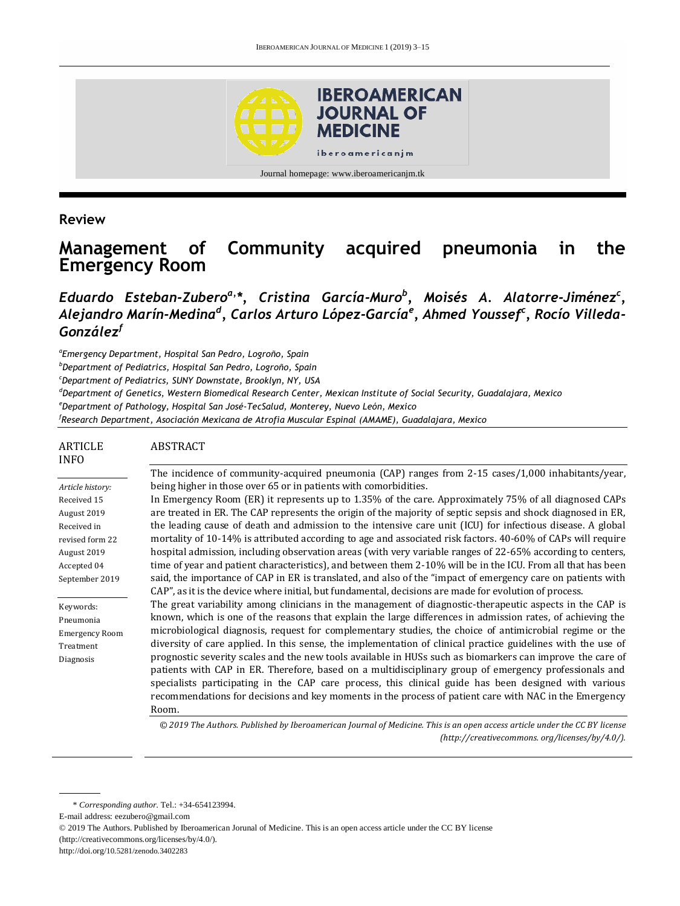

Journal homepage: www.iberoamericanjm.tk

#### **Review**

ARTICLE

# **Management of Community acquired pneumonia in the Emergency Room**

### *Eduardo Esteban-Zuberoa, \*, Cristina García-Muro<sup>b</sup> , Moisés A. Alatorre-Jiménez<sup>c</sup> , Alejandro Marín-Medina<sup>d</sup> , Carlos Arturo López-García<sup>e</sup> , Ahmed Youssef<sup>c</sup> , Rocío Villeda-González<sup>f</sup>*

*a Emergency Department, Hospital San Pedro, Logroño, Spain*

ABSTRACT

*<sup>b</sup>Department of Pediatrics, Hospital San Pedro, Logroño, Spain*

*<sup>c</sup>Department of Pediatrics, SUNY Downstate, Brooklyn, NY, USA*

*<sup>d</sup>Department of Genetics, Western Biomedical Research Center, Mexican Institute of Social Security, Guadalajara, Mexico*

*<sup>e</sup>Department of Pathology, Hospital San José-TecSalud, Monterey, Nuevo León, Mexico*

*f Research Department, Asociación Mexicana de Atrofia Muscular Espinal (AMAME), Guadalajara, Mexico*

| ARTICLE<br><b>INFO</b> | ABSTRACT                                                                                                     |
|------------------------|--------------------------------------------------------------------------------------------------------------|
|                        | The incidence of community-acquired pneumonia (CAP) ranges from 2-15 cases/1,000 inhabitants/year,           |
| Article history:       | being higher in those over 65 or in patients with comorbidities.                                             |
| Received 15            | In Emergency Room (ER) it represents up to 1.35% of the care. Approximately 75% of all diagnosed CAPs        |
| August 2019            | are treated in ER. The CAP represents the origin of the majority of septic sepsis and shock diagnosed in ER, |
| Received in            | the leading cause of death and admission to the intensive care unit (ICU) for infectious disease. A global   |
| revised form 22        | mortality of 10-14% is attributed according to age and associated risk factors. 40-60% of CAPs will require  |
| August 2019            | hospital admission, including observation areas (with very variable ranges of 22-65% according to centers,   |
| Accepted 04            | time of year and patient characteristics), and between them 2-10% will be in the ICU. From all that has been |
| September 2019         | said, the importance of CAP in ER is translated, and also of the "impact of emergency care on patients with  |
|                        | CAP", as it is the device where initial, but fundamental, decisions are made for evolution of process.       |
| Keywords:              | The great variability among clinicians in the management of diagnostic-therapeutic aspects in the CAP is     |
| Pneumonia              | known, which is one of the reasons that explain the large differences in admission rates, of achieving the   |
| <b>Emergency Room</b>  | microbiological diagnosis, request for complementary studies, the choice of antimicrobial regime or the      |
| Treatment              | diversity of care applied. In this sense, the implementation of clinical practice guidelines with the use of |
| Diagnosis              | prognostic severity scales and the new tools available in HUSs such as biomarkers can improve the care of    |
|                        | patients with CAP in ER. Therefore, based on a multidisciplinary group of emergency professionals and        |
|                        | specialists participating in the CAP care process, this clinical guide has been designed with various        |
|                        | recommendations for decisions and key moments in the process of patient care with NAC in the Emergency       |
|                        | Room.                                                                                                        |

*© 2019 The Authors. Published by Iberoamerican Journal of Medicine. This is an open access article under the CC BY license (http:/[/creativecommons. org/licenses/by/4.0/\)](https://creativecommons.org/licenses/by/4.0/).*

<sup>\*</sup> *Corresponding author.* Tel.: +34-654123994.

E-mail address: eezubero@gmail.com

<sup>© 2019</sup> The Authors. Published by Iberoamerican Jorunal of Medicine. This is an open access article under the CC BY license (http://creativecommons.org/licenses/by/4.0/).

http://doi.org/10.5281/zenodo.3402283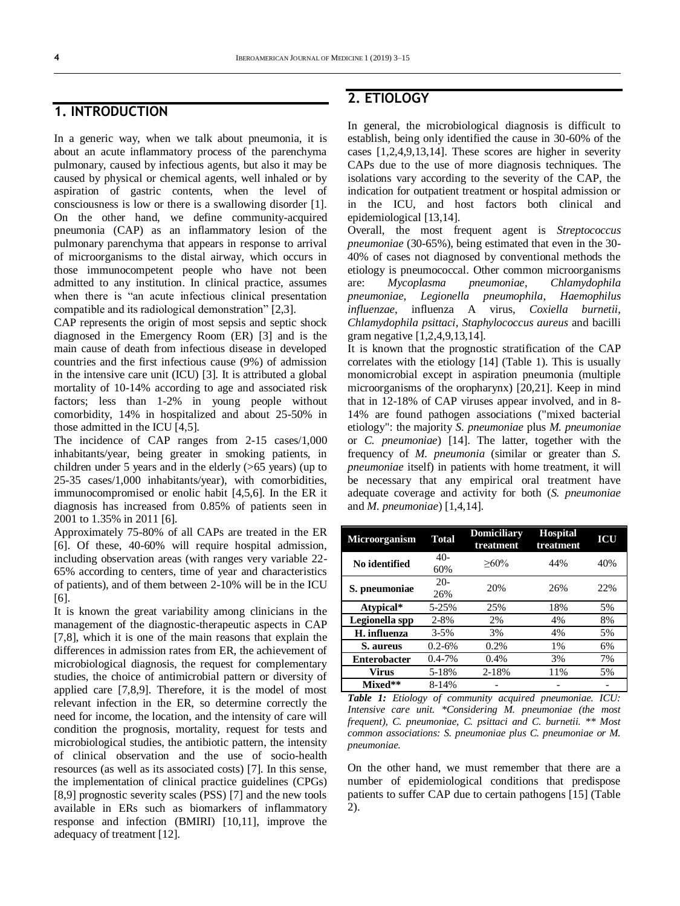#### **1. INTRODUCTION**

In a generic way, when we talk about pneumonia, it is about an acute inflammatory process of the parenchyma pulmonary, caused by infectious agents, but also it may be caused by physical or chemical agents, well inhaled or by aspiration of gastric contents, when the level of consciousness is low or there is a swallowing disorder [1]. On the other hand, we define community-acquired pneumonia (CAP) as an inflammatory lesion of the pulmonary parenchyma that appears in response to arrival of microorganisms to the distal airway, which occurs in those immunocompetent people who have not been admitted to any institution. In clinical practice, assumes when there is "an acute infectious clinical presentation compatible and its radiological demonstration" [2,3].

CAP represents the origin of most sepsis and septic shock diagnosed in the Emergency Room (ER) [3] and is the main cause of death from infectious disease in developed countries and the first infectious cause (9%) of admission in the intensive care unit (ICU) [3]. It is attributed a global mortality of 10-14% according to age and associated risk factors; less than 1-2% in young people without comorbidity, 14% in hospitalized and about 25-50% in those admitted in the ICU [4,5].

The incidence of CAP ranges from 2-15 cases/1,000 inhabitants/year, being greater in smoking patients, in children under 5 years and in the elderly (>65 years) (up to 25-35 cases/1,000 inhabitants/year), with comorbidities, immunocompromised or enolic habit [4,5,6]. In the ER it diagnosis has increased from 0.85% of patients seen in 2001 to 1.35% in 2011 [6].

Approximately 75-80% of all CAPs are treated in the ER [6]. Of these, 40-60% will require hospital admission, including observation areas (with ranges very variable 22- 65% according to centers, time of year and characteristics of patients), and of them between 2-10% will be in the ICU [6].

It is known the great variability among clinicians in the management of the diagnostic-therapeutic aspects in CAP [7,8], which it is one of the main reasons that explain the differences in admission rates from ER, the achievement of microbiological diagnosis, the request for complementary studies, the choice of antimicrobial pattern or diversity of applied care [7,8,9]. Therefore, it is the model of most relevant infection in the ER, so determine correctly the need for income, the location, and the intensity of care will condition the prognosis, mortality, request for tests and microbiological studies, the antibiotic pattern, the intensity of clinical observation and the use of socio-health resources (as well as its associated costs) [7]. In this sense, the implementation of clinical practice guidelines (CPGs) [8,9] prognostic severity scales (PSS) [7] and the new tools available in ERs such as biomarkers of inflammatory response and infection (BMIRI) [10,11], improve the adequacy of treatment [12].

### **2. ETIOLOGY**

In general, the microbiological diagnosis is difficult to establish, being only identified the cause in 30-60% of the cases [1,2,4,9,13,14]. These scores are higher in severity CAPs due to the use of more diagnosis techniques. The isolations vary according to the severity of the CAP, the indication for outpatient treatment or hospital admission or in the ICU, and host factors both clinical and epidemiological [13,14].

Overall, the most frequent agent is *Streptococcus pneumoniae* (30-65%), being estimated that even in the 30- 40% of cases not diagnosed by conventional methods the etiology is pneumococcal. Other common microorganisms are: *Mycoplasma pneumoniae*, *Chlamydophila pneumoniae*, *Legionella pneumophila*, *Haemophilus influenzae*, influenza A virus, *Coxiella burnetii*, *Chlamydophila psittaci*, *Staphylococcus aureus* and bacilli gram negative [1,2,4,9,13,14].

It is known that the prognostic stratification of the CAP correlates with the etiology [14] (Table 1). This is usually monomicrobial except in aspiration pneumonia (multiple microorganisms of the oropharynx) [20,21]. Keep in mind that in 12-18% of CAP viruses appear involved, and in 8- 14% are found pathogen associations ("mixed bacterial etiology": the majority *S. pneumoniae* plus *M. pneumoniae* or *C. pneumoniae*) [14]. The latter, together with the frequency of *M. pneumonia* (similar or greater than *S. pneumoniae* itself) in patients with home treatment, it will be necessary that any empirical oral treatment have adequate coverage and activity for both (*S. pneumoniae* and *M. pneumoniae*) [1,4,14].

| <b>Microorganism</b> | <b>Total</b> | <b>Domiciliary</b><br>treatment | <b>Hospital</b><br>treatment | ICU |
|----------------------|--------------|---------------------------------|------------------------------|-----|
| No identified        | $40-$<br>60% | $>60\%$                         | 44%                          | 40% |
| S. pneumoniae        | $20-$<br>26% | 20%                             | 26%                          | 22% |
| Atypical*            | 5-25%        | 25%                             | 18%                          | 5%  |
| Legionella spp       | $2 - 8%$     | 2%                              | 4%                           | 8%  |
| H. influenza         | $3 - 5\%$    | 3%                              | 4%                           | 5%  |
| S. aureus            | $0.2 - 6\%$  | 0.2%                            | 1%                           | 6%  |
| <b>Enterobacter</b>  | $0.4 - 7%$   | 0.4%                            | 3%                           | 7%  |
| Virus                | 5-18%        | 2-18%                           | 11%                          | 5%  |
| Mixed**              | 8-14%        |                                 |                              |     |

*Table 1: Etiology of community acquired pneumoniae. ICU: Intensive care unit. \*Considering M. pneumoniae (the most frequent), C. pneumoniae, C. psittaci and C. burnetii. \*\* Most common associations: S. pneumoniae plus C. pneumoniae or M. pneumoniae.*

On the other hand, we must remember that there are a number of epidemiological conditions that predispose patients to suffer CAP due to certain pathogens [15] (Table 2).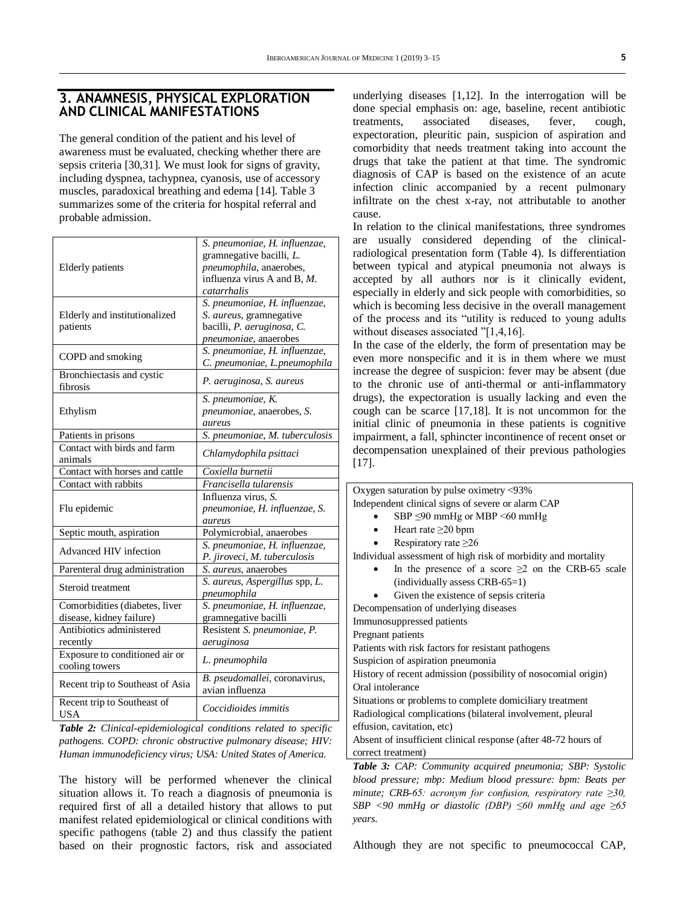#### **3. ANAMNESIS, PHYSICAL EXPLORATION AND CLINICAL MANIFESTATIONS**

The general condition of the patient and his level of awareness must be evaluated, checking whether there are sepsis criteria [30,31]. We must look for signs of gravity, including dyspnea, tachypnea, cyanosis, use of accessory muscles, paradoxical breathing and edema [14]. Table 3 summarizes some of the criteria for hospital referral and probable admission.

| <b>Elderly</b> patients                                    | S. pneumoniae, H. influenzae,<br>gramnegative bacilli, L.<br>pneumophila, anaerobes,<br>influenza virus A and B, M.<br>catarrhalis |
|------------------------------------------------------------|------------------------------------------------------------------------------------------------------------------------------------|
| Elderly and institutionalized<br>patients                  | S. pneumoniae, H. influenzae,<br>S. <i>aureus</i> , gramnegative<br>bacilli, P. aeruginosa, C.<br>pneumoniae, anaerobes            |
| COPD and smoking                                           | S. pneumoniae, H. influenzae,<br>C. pneumoniae, L. pneumophila                                                                     |
| Bronchiectasis and cystic<br>fibrosis                      | P. aeruginosa, S. aureus                                                                                                           |
| Ethylism                                                   | S. pneumoniae, K.<br>pneumoniae, anaerobes, S.<br>aureus                                                                           |
| Patients in prisons                                        | S. pneumoniae, M. tuberculosis                                                                                                     |
| Contact with birds and farm<br>animals                     | Chlamydophila psittaci                                                                                                             |
| Contact with horses and cattle                             | Coxiella burnetii                                                                                                                  |
| Contact with rabbits                                       | Francisella tularensis                                                                                                             |
| Flu epidemic                                               | Influenza virus, S.<br>pneumoniae, H. influenzae, S.<br>aureus                                                                     |
| Septic mouth, aspiration                                   | Polymicrobial, anaerobes                                                                                                           |
| Advanced HIV infection                                     | S. pneumoniae, H. influenzae,<br>P. jiroveci, M. tuberculosis                                                                      |
| Parenteral drug administration                             | S. aureus, anaerobes                                                                                                               |
| Steroid treatment                                          | S. aureus, Aspergillus spp, L.<br>pneumophila                                                                                      |
| Comorbidities (diabetes, liver<br>disease, kidney failure) | S. pneumoniae, H. influenzae,<br>gramnegative bacilli                                                                              |
| Antibiotics administered<br>recently                       | Resistent S. pneumoniae, P.<br>aeruginosa                                                                                          |
| Exposure to conditioned air or<br>cooling towers           | L. pneumophila                                                                                                                     |
| Recent trip to Southeast of Asia                           | B. pseudomallei, coronavirus,<br>avian influenza                                                                                   |
| Recent trip to Southeast of<br><b>USA</b>                  | Coccidioides immitis                                                                                                               |

*Table 2: Clinical-epidemiological conditions related to specific pathogens. COPD: chronic obstructive pulmonary disease; HIV: Human immunodeficiency virus; USA: United States of America.*

The history will be performed whenever the clinical situation allows it. To reach a diagnosis of pneumonia is required first of all a detailed history that allows to put manifest related epidemiological or clinical conditions with specific pathogens (table 2) and thus classify the patient based on their prognostic factors, risk and associated

underlying diseases [1,12]. In the interrogation will be done special emphasis on: age, baseline, recent antibiotic treatments, associated diseases, fever, cough, expectoration, pleuritic pain, suspicion of aspiration and comorbidity that needs treatment taking into account the drugs that take the patient at that time. The syndromic diagnosis of CAP is based on the existence of an acute infection clinic accompanied by a recent pulmonary infiltrate on the chest x-ray, not attributable to another cause.

In relation to the clinical manifestations, three syndromes are usually considered depending of the clinicalradiological presentation form (Table 4). Is differentiation between typical and atypical pneumonia not always is accepted by all authors nor is it clinically evident, especially in elderly and sick people with comorbidities, so which is becoming less decisive in the overall management of the process and its "utility is reduced to young adults without diseases associated "[1,4,16].

In the case of the elderly, the form of presentation may be even more nonspecific and it is in them where we must increase the degree of suspicion: fever may be absent (due to the chronic use of anti-thermal or anti-inflammatory drugs), the expectoration is usually lacking and even the cough can be scarce [17,18]. It is not uncommon for the initial clinic of pneumonia in these patients is cognitive impairment, a fall, sphincter incontinence of recent onset or decompensation unexplained of their previous pathologies [17].

| Oxygen saturation by pulse oximetry <93%                                                                                                                                                                                                                                                         |  |  |
|--------------------------------------------------------------------------------------------------------------------------------------------------------------------------------------------------------------------------------------------------------------------------------------------------|--|--|
| Independent clinical signs of severe or alarm CAP                                                                                                                                                                                                                                                |  |  |
| SBP $\leq 90$ mmHg or MBP $\leq 60$ mmHg                                                                                                                                                                                                                                                         |  |  |
| Heart rate $\geq$ 20 bpm                                                                                                                                                                                                                                                                         |  |  |
| Respiratory rate $\geq 26$                                                                                                                                                                                                                                                                       |  |  |
| Individual assessment of high risk of morbidity and mortality                                                                                                                                                                                                                                    |  |  |
| In the presence of a score $\geq 2$ on the CRB-65 scale                                                                                                                                                                                                                                          |  |  |
| (individually assess CRB-65=1)                                                                                                                                                                                                                                                                   |  |  |
| Given the existence of sepsis criteria                                                                                                                                                                                                                                                           |  |  |
| Decompensation of underlying diseases                                                                                                                                                                                                                                                            |  |  |
| Immunosuppressed patients                                                                                                                                                                                                                                                                        |  |  |
| Pregnant patients                                                                                                                                                                                                                                                                                |  |  |
| Patients with risk factors for resistant pathogens                                                                                                                                                                                                                                               |  |  |
| Suspicion of aspiration pneumonia                                                                                                                                                                                                                                                                |  |  |
| History of recent admission (possibility of nosocomial origin)                                                                                                                                                                                                                                   |  |  |
| Oral intolerance                                                                                                                                                                                                                                                                                 |  |  |
| Situations or problems to complete domiciliary treatment                                                                                                                                                                                                                                         |  |  |
| Radiological complications (bilateral involvement, pleural                                                                                                                                                                                                                                       |  |  |
| effusion, cavitation, etc)                                                                                                                                                                                                                                                                       |  |  |
| Absent of insufficient clinical response (after 48-72 hours of                                                                                                                                                                                                                                   |  |  |
| correct treatment)                                                                                                                                                                                                                                                                               |  |  |
| Table 3: CAP: Community acquired pneumonia; SBP: Systolic                                                                                                                                                                                                                                        |  |  |
| $\mathbf{1}$ are $\mathbf{1}$ and $\mathbf{1}$ and $\mathbf{1}$ and $\mathbf{1}$ and $\mathbf{1}$ and $\mathbf{1}$ and $\mathbf{1}$ and $\mathbf{1}$ and $\mathbf{1}$ and $\mathbf{1}$ and $\mathbf{1}$ and $\mathbf{1}$ and $\mathbf{1}$ and $\mathbf{1}$ and $\mathbf{1}$ and $\mathbf{1}$ and |  |  |

*blood pressure; mbp: Medium blood pressure: bpm: Beats per minute; CRB-65: acronym for confusion, respiratory rate ≥30, SBP <90 mmHg or diastolic (DBP) ≤60 mmHg and age ≥65 years.*

Although they are not specific to pneumococcal CAP,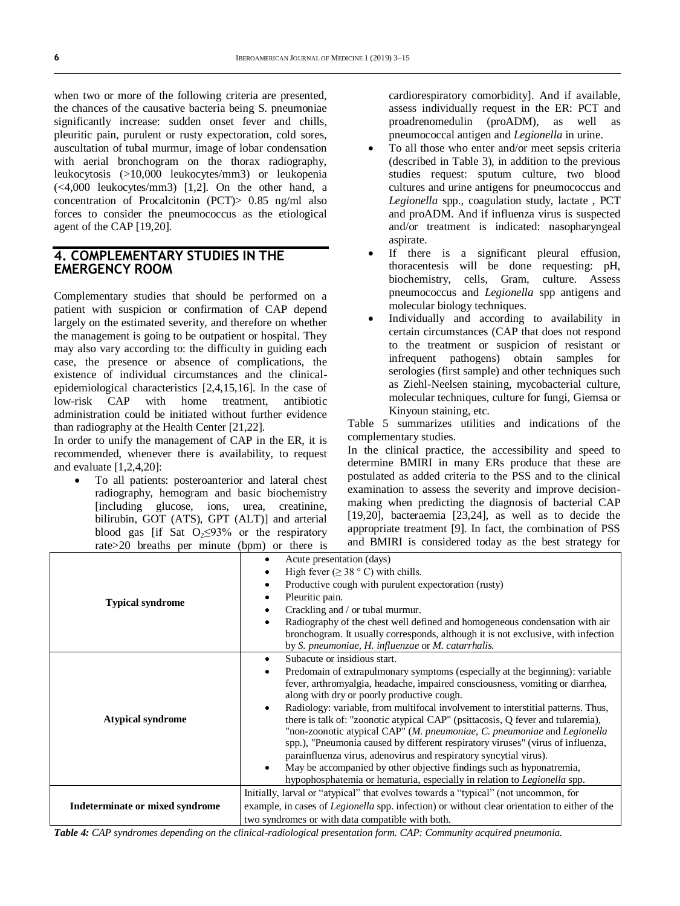when two or more of the following criteria are presented, the chances of the causative bacteria being S. pneumoniae significantly increase: sudden onset fever and chills, pleuritic pain, purulent or rusty expectoration, cold sores, auscultation of tubal murmur, image of lobar condensation with aerial bronchogram on the thorax radiography, leukocytosis (>10,000 leukocytes/mm3) or leukopenia (<4,000 leukocytes/mm3) [1,2]. On the other hand, a concentration of Procalcitonin (PCT)> 0.85 ng/ml also forces to consider the pneumococcus as the etiological agent of the CAP [19,20].

#### **4. COMPLEMENTARY STUDIES IN THE EMERGENCY ROOM**

Complementary studies that should be performed on a patient with suspicion or confirmation of CAP depend largely on the estimated severity, and therefore on whether the management is going to be outpatient or hospital. They may also vary according to: the difficulty in guiding each case, the presence or absence of complications, the existence of individual circumstances and the clinicalepidemiological characteristics [2,4,15,16]. In the case of low-risk CAP with home treatment, antibiotic administration could be initiated without further evidence than radiography at the Health Center [21,22].

In order to unify the management of CAP in the ER, it is recommended, whenever there is availability, to request and evaluate [1,2,4,20]:

 To all patients: posteroanterior and lateral chest radiography, hemogram and basic biochemistry [including glucose, ions, urea, creatinine, bilirubin, GOT (ATS), GPT (ALT)] and arterial blood gas [if Sat  $O<sub>2</sub>\leq 93\%$  or the respiratory rate>20 breaths per minute (bpm) or there is

cardiorespiratory comorbidity]. And if available, assess individually request in the ER: PCT and proadrenomedulin (proADM), as well as pneumococcal antigen and *Legionella* in urine.

- To all those who enter and/or meet sepsis criteria (described in Table 3), in addition to the previous studies request: sputum culture, two blood cultures and urine antigens for pneumococcus and *Legionella* spp., coagulation study, lactate , PCT and proADM. And if influenza virus is suspected and/or treatment is indicated: nasopharyngeal aspirate.
- If there is a significant pleural effusion, thoracentesis will be done requesting: pH, biochemistry, cells, Gram, culture. Assess pneumococcus and *Legionella* spp antigens and molecular biology techniques.
- Individually and according to availability in certain circumstances (CAP that does not respond to the treatment or suspicion of resistant or infrequent pathogens) obtain samples for serologies (first sample) and other techniques such as Ziehl-Neelsen staining, mycobacterial culture, molecular techniques, culture for fungi, Giemsa or Kinyoun staining, etc.

Table 5 summarizes utilities and indications of the complementary studies.

In the clinical practice, the accessibility and speed to determine BMIRI in many ERs produce that these are postulated as added criteria to the PSS and to the clinical examination to assess the severity and improve decisionmaking when predicting the diagnosis of bacterial CAP  $[19,20]$ , bacteraemia  $[23,24]$ , as well as to decide the appropriate treatment [9]. In fact, the combination of PSS and BMIRI is considered today as the best strategy for

|                                 | Acute presentation (days)<br>$\bullet$                                                               |
|---------------------------------|------------------------------------------------------------------------------------------------------|
|                                 | High fever ( $\geq$ 38 ° C) with chills.<br>$\bullet$                                                |
|                                 | Productive cough with purulent expectoration (rusty)<br>$\bullet$                                    |
|                                 | Pleuritic pain.<br>$\bullet$                                                                         |
| <b>Typical syndrome</b>         | Crackling and / or tubal murmur.<br>$\bullet$                                                        |
|                                 | Radiography of the chest well defined and homogeneous condensation with air<br>$\bullet$             |
|                                 | bronchogram. It usually corresponds, although it is not exclusive, with infection                    |
|                                 | by S. pneumoniae, H. influenzae or M. catarrhalis.                                                   |
|                                 | Subacute or insidious start.<br>$\bullet$                                                            |
|                                 | Predomain of extrapulmonary symptoms (especially at the beginning): variable<br>$\bullet$            |
|                                 | fever, arthromyalgia, headache, impaired consciousness, vomiting or diarrhea,                        |
|                                 | along with dry or poorly productive cough.                                                           |
|                                 | Radiology: variable, from multifocal involvement to interstitial patterns. Thus,<br>$\bullet$        |
| <b>Atypical syndrome</b>        | there is talk of: "zoonotic atypical CAP" (psittacosis, Q fever and tularemia),                      |
|                                 | "non-zoonotic atypical CAP" (M. pneumoniae, C. pneumoniae and Legionella                             |
|                                 | spp.), "Pneumonia caused by different respiratory viruses" (virus of influenza,                      |
|                                 | parainfluenza virus, adenovirus and respiratory syncytial virus).                                    |
|                                 | May be accompanied by other objective findings such as hyponatremia,<br>$\bullet$                    |
|                                 | hypophosphatemia or hematuria, especially in relation to Legionella spp.                             |
|                                 | Initially, larval or "atypical" that evolves towards a "typical" (not uncommon, for                  |
| Indeterminate or mixed syndrome | example, in cases of <i>Legionella</i> spp. infection) or without clear orientation to either of the |
|                                 | two syndromes or with data compatible with both.                                                     |

*Table 4: CAP syndromes depending on the clinical-radiological presentation form. CAP: Community acquired pneumonia.*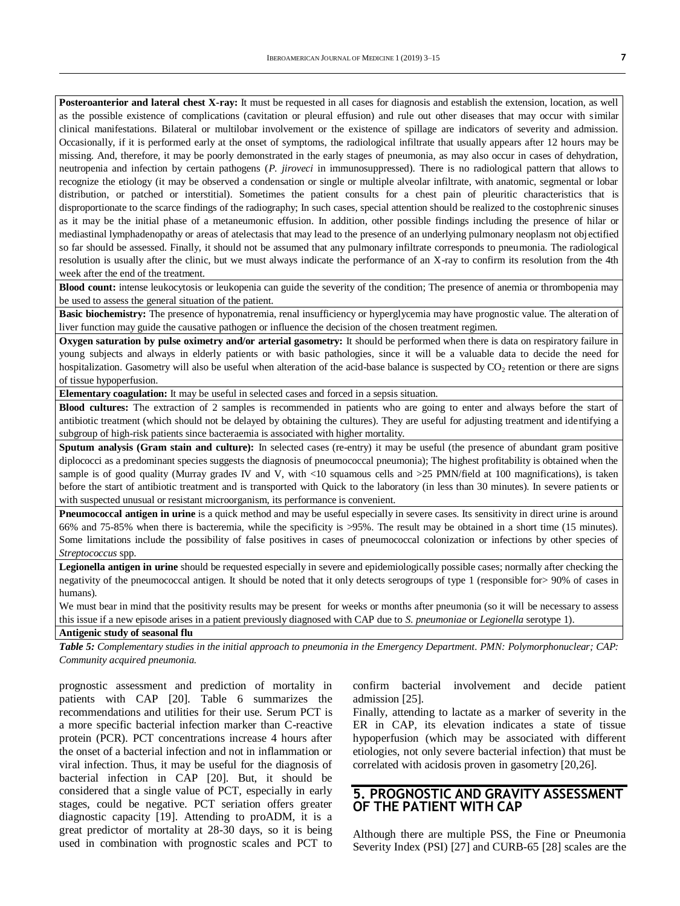**Posteroanterior and lateral chest X-ray:** It must be requested in all cases for diagnosis and establish the extension, location, as well as the possible existence of complications (cavitation or pleural effusion) and rule out other diseases that may occur with similar clinical manifestations. Bilateral or multilobar involvement or the existence of spillage are indicators of severity and admission. Occasionally, if it is performed early at the onset of symptoms, the radiological infiltrate that usually appears after 12 hours may be missing. And, therefore, it may be poorly demonstrated in the early stages of pneumonia, as may also occur in cases of dehydration, neutropenia and infection by certain pathogens (*P. jiroveci* in immunosuppressed). There is no radiological pattern that allows to recognize the etiology (it may be observed a condensation or single or multiple alveolar infiltrate, with anatomic, segmental or lobar distribution, or patched or interstitial). Sometimes the patient consults for a chest pain of pleuritic characteristics that is disproportionate to the scarce findings of the radiography; In such cases, special attention should be realized to the costophrenic sinuses as it may be the initial phase of a metaneumonic effusion. In addition, other possible findings including the presence of hilar or mediastinal lymphadenopathy or areas of atelectasis that may lead to the presence of an underlying pulmonary neoplasm not objectified so far should be assessed. Finally, it should not be assumed that any pulmonary infiltrate corresponds to pneumonia. The radiological resolution is usually after the clinic, but we must always indicate the performance of an X-ray to confirm its resolution from the 4th week after the end of the treatment.

**Blood count:** intense leukocytosis or leukopenia can guide the severity of the condition; The presence of anemia or thrombopenia may be used to assess the general situation of the patient.

**Basic biochemistry:** The presence of hyponatremia, renal insufficiency or hyperglycemia may have prognostic value. The alteration of liver function may guide the causative pathogen or influence the decision of the chosen treatment regimen.

**Oxygen saturation by pulse oximetry and/or arterial gasometry:** It should be performed when there is data on respiratory failure in young subjects and always in elderly patients or with basic pathologies, since it will be a valuable data to decide the need for hospitalization. Gasometry will also be useful when alteration of the acid-base balance is suspected by  $CO<sub>2</sub>$  retention or there are signs of tissue hypoperfusion.

**Elementary coagulation:** It may be useful in selected cases and forced in a sepsis situation.

**Blood cultures:** The extraction of 2 samples is recommended in patients who are going to enter and always before the start of antibiotic treatment (which should not be delayed by obtaining the cultures). They are useful for adjusting treatment and identifying a subgroup of high-risk patients since bacteraemia is associated with higher mortality.

**Sputum analysis (Gram stain and culture):** In selected cases (re-entry) it may be useful (the presence of abundant gram positive diplococci as a predominant species suggests the diagnosis of pneumococcal pneumonia); The highest profitability is obtained when the sample is of good quality (Murray grades IV and V, with  $\langle 10 \rangle$  squamous cells and  $\langle 25 \rangle$  PMN/field at 100 magnifications), is taken before the start of antibiotic treatment and is transported with Quick to the laboratory (in less than 30 minutes). In severe patients or with suspected unusual or resistant microorganism, its performance is convenient.

**Pneumococcal antigen in urine** is a quick method and may be useful especially in severe cases. Its sensitivity in direct urine is around 66% and 75-85% when there is bacteremia, while the specificity is >95%. The result may be obtained in a short time (15 minutes). Some limitations include the possibility of false positives in cases of pneumococcal colonization or infections by other species of *Streptococcus* spp.

**Legionella antigen in urine** should be requested especially in severe and epidemiologically possible cases; normally after checking the negativity of the pneumococcal antigen. It should be noted that it only detects serogroups of type 1 (responsible for> 90% of cases in humans).

We must bear in mind that the positivity results may be present for weeks or months after pneumonia (so it will be necessary to assess this issue if a new episode arises in a patient previously diagnosed with CAP due to *S. pneumoniae* or *Legionella* serotype 1).

#### **Antigenic study of seasonal flu**

*Table 5: Complementary studies in the initial approach to pneumonia in the Emergency Department. PMN: Polymorphonuclear; CAP: Community acquired pneumonia.*

prognostic assessment and prediction of mortality in patients with CAP [20]. Table 6 summarizes the recommendations and utilities for their use. Serum PCT is a more specific bacterial infection marker than C-reactive protein (PCR). PCT concentrations increase 4 hours after the onset of a bacterial infection and not in inflammation or viral infection. Thus, it may be useful for the diagnosis of bacterial infection in CAP [20]. But, it should be considered that a single value of PCT, especially in early stages, could be negative. PCT seriation offers greater diagnostic capacity [19]. Attending to proADM, it is a great predictor of mortality at 28-30 days, so it is being used in combination with prognostic scales and PCT to

confirm bacterial involvement and decide patient admission [25].

Finally, attending to lactate as a marker of severity in the ER in CAP, its elevation indicates a state of tissue hypoperfusion (which may be associated with different etiologies, not only severe bacterial infection) that must be correlated with acidosis proven in gasometry [20,26].

#### **5. PROGNOSTIC AND GRAVITY ASSESSMENT OF THE PATIENT WITH CAP**

Although there are multiple PSS, the Fine or Pneumonia Severity Index (PSI) [27] and CURB-65 [28] scales are the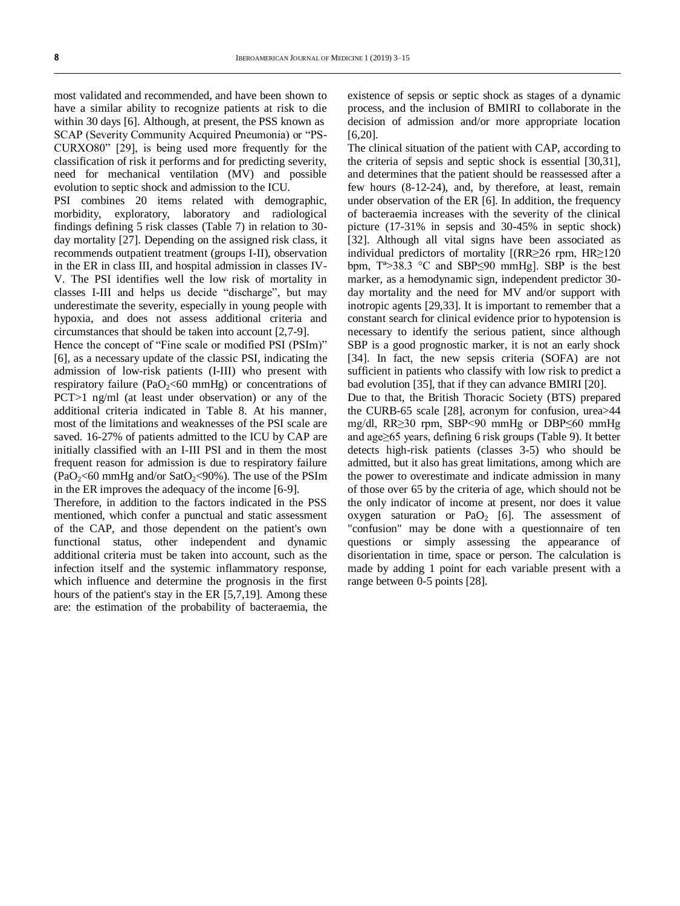most validated and recommended, and have been shown to have a similar ability to recognize patients at risk to die within 30 days [6]. Although, at present, the PSS known as SCAP (Severity Community Acquired Pneumonia) or "PS-CURXO80" [29], is being used more frequently for the classification of risk it performs and for predicting severity, need for mechanical ventilation (MV) and possible evolution to septic shock and admission to the ICU.

PSI combines 20 items related with demographic, morbidity, exploratory, laboratory and radiological findings defining 5 risk classes (Table 7) in relation to 30 day mortality [27]. Depending on the assigned risk class, it recommends outpatient treatment (groups I-II), observation in the ER in class III, and hospital admission in classes IV-V. The PSI identifies well the low risk of mortality in classes I-III and helps us decide "discharge", but may underestimate the severity, especially in young people with hypoxia, and does not assess additional criteria and circumstances that should be taken into account [2,7-9].

Hence the concept of "Fine scale or modified PSI (PSIm)" [6], as a necessary update of the classic PSI, indicating the admission of low-risk patients (I-III) who present with respiratory failure (PaO<sub>2</sub><60 mmHg) or concentrations of PCT>1 ng/ml (at least under observation) or any of the additional criteria indicated in Table 8. At his manner, most of the limitations and weaknesses of the PSI scale are saved. 16-27% of patients admitted to the ICU by CAP are initially classified with an I-III PSI and in them the most frequent reason for admission is due to respiratory failure  $(PaO<sub>2</sub>< 60 mmHg and/or SatO<sub>2</sub>< 90%).$  The use of the PSIm in the ER improves the adequacy of the income [6-9].

Therefore, in addition to the factors indicated in the PSS mentioned, which confer a punctual and static assessment of the CAP, and those dependent on the patient's own functional status, other independent and dynamic additional criteria must be taken into account, such as the infection itself and the systemic inflammatory response, which influence and determine the prognosis in the first hours of the patient's stay in the ER [5,7,19]. Among these are: the estimation of the probability of bacteraemia, the

existence of sepsis or septic shock as stages of a dynamic process, and the inclusion of BMIRI to collaborate in the decision of admission and/or more appropriate location [6,20].

The clinical situation of the patient with CAP, according to the criteria of sepsis and septic shock is essential [30,31], and determines that the patient should be reassessed after a few hours (8-12-24), and, by therefore, at least, remain under observation of the ER [6]. In addition, the frequency of bacteraemia increases with the severity of the clinical picture (17-31% in sepsis and 30-45% in septic shock) [32]. Although all vital signs have been associated as individual predictors of mortality [(RR≥26 rpm, HR≥120 bpm, Tª>38.3 °C and SBP≤90 mmHg]. SBP is the best marker, as a hemodynamic sign, independent predictor 30 day mortality and the need for MV and/or support with inotropic agents [29,33]. It is important to remember that a constant search for clinical evidence prior to hypotension is necessary to identify the serious patient, since although SBP is a good prognostic marker, it is not an early shock [34]. In fact, the new sepsis criteria (SOFA) are not sufficient in patients who classify with low risk to predict a bad evolution [35], that if they can advance BMIRI [20].

Due to that, the British Thoracic Society (BTS) prepared the CURB-65 scale [28], acronym for confusion, urea>44 mg/dl, RR≥30 rpm, SBP<90 mmHg or DBP≤60 mmHg and age≥65 years, defining 6 risk groups (Table 9). It better detects high-risk patients (classes 3-5) who should be admitted, but it also has great limitations, among which are the power to overestimate and indicate admission in many of those over 65 by the criteria of age, which should not be the only indicator of income at present, nor does it value oxygen saturation or PaO<sub>2</sub> [6]. The assessment of "confusion" may be done with a questionnaire of ten questions or simply assessing the appearance of disorientation in time, space or person. The calculation is made by adding 1 point for each variable present with a range between 0-5 points [28].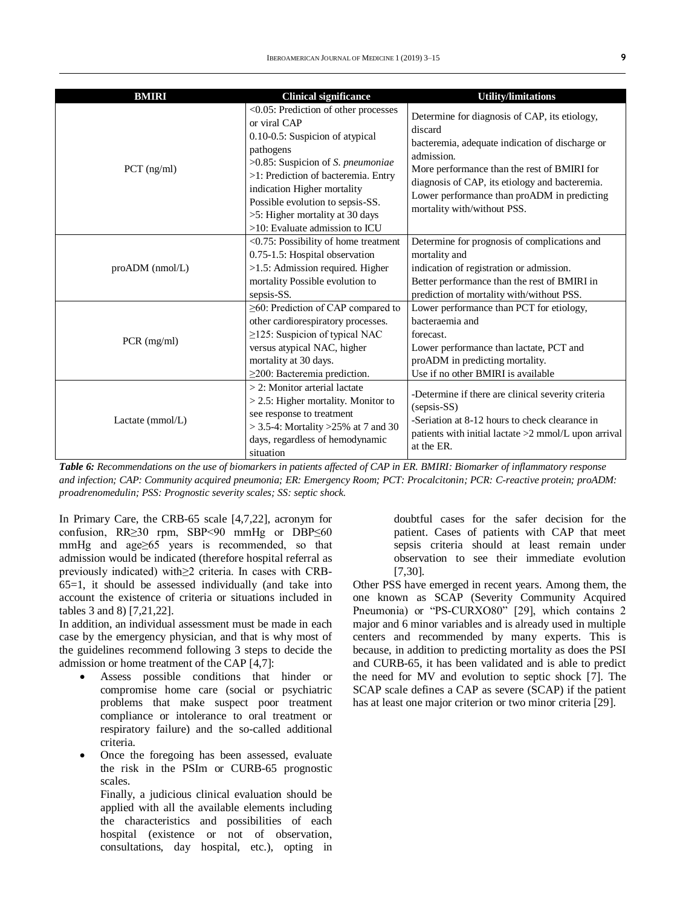| <b>BMIRI</b>          | <b>Clinical significance</b>                                                                                                                                                                                                                                                                                             | <b>Utility/limitations</b>                                                                                                                                                                                                                                                                               |
|-----------------------|--------------------------------------------------------------------------------------------------------------------------------------------------------------------------------------------------------------------------------------------------------------------------------------------------------------------------|----------------------------------------------------------------------------------------------------------------------------------------------------------------------------------------------------------------------------------------------------------------------------------------------------------|
| $PCT$ (ng/ml)         | <0.05: Prediction of other processes<br>or viral CAP<br>0.10-0.5: Suspicion of atypical<br>pathogens<br>>0.85: Suspicion of S. pneumoniae<br>>1: Prediction of bacteremia. Entry<br>indication Higher mortality<br>Possible evolution to sepsis-SS.<br>>5: Higher mortality at 30 days<br>>10: Evaluate admission to ICU | Determine for diagnosis of CAP, its etiology,<br>discard<br>bacteremia, adequate indication of discharge or<br>admission.<br>More performance than the rest of BMIRI for<br>diagnosis of CAP, its etiology and bacteremia.<br>Lower performance than proADM in predicting<br>mortality with/without PSS. |
| $proADM$ ( $nmol/L$ ) | <0.75: Possibility of home treatment<br>0.75-1.5: Hospital observation<br>>1.5: Admission required. Higher<br>mortality Possible evolution to<br>sepsis-SS.                                                                                                                                                              | Determine for prognosis of complications and<br>mortality and<br>indication of registration or admission.<br>Better performance than the rest of BMIRI in<br>prediction of mortality with/without PSS.                                                                                                   |
| PCR (mg/ml)           | ≥60: Prediction of CAP compared to<br>other cardiorespiratory processes.<br>$\geq$ 125: Suspicion of typical NAC<br>versus atypical NAC, higher<br>mortality at 30 days.<br>$\geq$ 200: Bacteremia prediction.                                                                                                           | Lower performance than PCT for etiology,<br>bacteraemia and<br>forecast.<br>Lower performance than lactate, PCT and<br>proADM in predicting mortality.<br>Use if no other BMIRI is available                                                                                                             |
| Lactate $(mmol/L)$    | $>$ 2: Monitor arterial lactate<br>$>$ 2.5: Higher mortality. Monitor to<br>see response to treatment<br>$>$ 3.5-4: Mortality $>$ 25% at 7 and 30<br>days, regardless of hemodynamic<br>situation                                                                                                                        | -Determine if there are clinical severity criteria<br>$(sepsis-SS)$<br>-Seriation at 8-12 hours to check clearance in<br>patients with initial lactate $>2$ mmol/L upon arrival<br>at the ER.                                                                                                            |

*Table 6: Recommendations on the use of biomarkers in patients affected of CAP in ER. BMIRI: Biomarker of inflammatory response and infection; CAP: Community acquired pneumonia; ER: Emergency Room; PCT: Procalcitonin; PCR: C-reactive protein; proADM: proadrenomedulin; PSS: Prognostic severity scales; SS: septic shock.*

In Primary Care, the CRB-65 scale [4,7,22], acronym for confusion, RR≥30 rpm, SBP<90 mmHg or DBP≤60 mmHg and age≥65 years is recommended, so that admission would be indicated (therefore hospital referral as previously indicated) with≥2 criteria. In cases with CRB-65=1, it should be assessed individually (and take into account the existence of criteria or situations included in tables 3 and 8) [7,21,22].

In addition, an individual assessment must be made in each case by the emergency physician, and that is why most of the guidelines recommend following 3 steps to decide the admission or home treatment of the CAP [4,7]:

- Assess possible conditions that hinder or compromise home care (social or psychiatric problems that make suspect poor treatment compliance or intolerance to oral treatment or respiratory failure) and the so-called additional criteria.
- Once the foregoing has been assessed, evaluate the risk in the PSIm or CURB-65 prognostic scales.

Finally, a judicious clinical evaluation should be applied with all the available elements including the characteristics and possibilities of each hospital (existence or not of observation, consultations, day hospital, etc.), opting in

doubtful cases for the safer decision for the patient. Cases of patients with CAP that meet sepsis criteria should at least remain under observation to see their immediate evolution [7,30].

Other PSS have emerged in recent years. Among them, the one known as SCAP (Severity Community Acquired Pneumonia) or "PS-CURXO80" [29], which contains 2 major and 6 minor variables and is already used in multiple centers and recommended by many experts. This is because, in addition to predicting mortality as does the PSI and CURB-65, it has been validated and is able to predict the need for MV and evolution to septic shock [7]. The SCAP scale defines a CAP as severe (SCAP) if the patient has at least one major criterion or two minor criteria [29].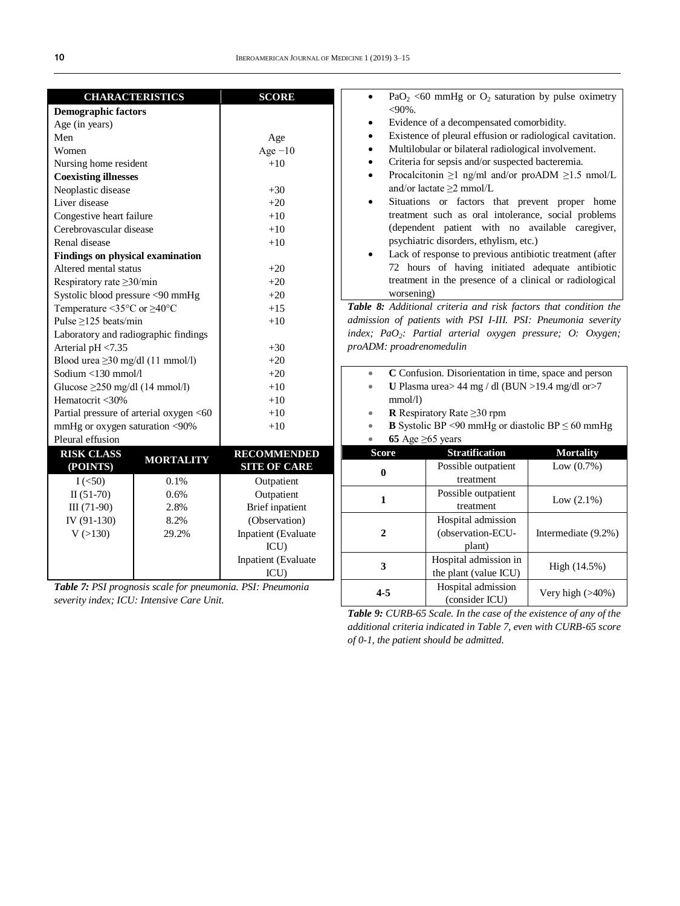| <b>CHARACTERISTICS</b>                                     |                  | <b>SCORE</b>           |                                                                   | $PaO2 < 60$ mmHg or $O2$ saturation by pulse oximetry                  |                     |
|------------------------------------------------------------|------------------|------------------------|-------------------------------------------------------------------|------------------------------------------------------------------------|---------------------|
| <b>Demographic factors</b>                                 |                  |                        | $<$ 90%.                                                          |                                                                        |                     |
| Age (in years)                                             |                  |                        | $\bullet$                                                         | Evidence of a decompensated comorbidity.                               |                     |
| Men                                                        |                  | Age                    | $\bullet$                                                         | Existence of pleural effusion or radiological cavitation.              |                     |
| Women                                                      |                  | Age $-10$              | $\bullet$                                                         | Multilobular or bilateral radiological involvement.                    |                     |
| Nursing home resident                                      |                  | $+10$                  | $\bullet$                                                         | Criteria for sepsis and/or suspected bacteremia.                       |                     |
| <b>Coexisting illnesses</b>                                |                  |                        | $\bullet$                                                         | Procalcitonin $\geq$ 1 ng/ml and/or proADM $\geq$ 1.5 nmol/L           |                     |
| Neoplastic disease                                         |                  | $+30$                  |                                                                   | and/or lactate $\geq$ 2 mmol/L                                         |                     |
| Liver disease                                              |                  | $+20$                  | $\bullet$                                                         | Situations or factors that prevent proper home                         |                     |
| Congestive heart failure                                   |                  | $+10$                  |                                                                   | treatment such as oral intolerance, social problems                    |                     |
| Cerebrovascular disease                                    |                  | $+10$                  |                                                                   | (dependent patient with no available caregiver,                        |                     |
| Renal disease                                              |                  | $+10$                  |                                                                   | psychiatric disorders, ethylism, etc.)                                 |                     |
| <b>Findings on physical examination</b>                    |                  |                        | $\bullet$                                                         | Lack of response to previous antibiotic treatment (after               |                     |
| Altered mental status                                      |                  | $+20$                  |                                                                   | 72 hours of having initiated adequate antibiotic                       |                     |
| Respiratory rate $\geq$ 30/min                             |                  | $+20$                  | treatment in the presence of a clinical or radiological           |                                                                        |                     |
| Systolic blood pressure <90 mmHg                           |                  | $+20$                  | worsening)                                                        |                                                                        |                     |
| Temperature <35 $\degree$ C or $\geq$ 40 $\degree$ C       |                  | $+15$                  | Table 8: Additional criteria and risk factors that condition the  |                                                                        |                     |
| Pulse $\geq$ 125 beats/min                                 |                  | $+10$                  |                                                                   | admission of patients with PSI I-III. PSI: Pneumonia severity          |                     |
| Laboratory and radiographic findings                       |                  |                        |                                                                   | index; PaO <sub>2</sub> : Partial arterial oxygen pressure; O: Oxygen; |                     |
| Arterial pH <7.35                                          |                  | $+30$                  | proADM: proadrenomedulin                                          |                                                                        |                     |
| Blood urea $\geq$ 30 mg/dl (11 mmol/l)                     |                  | $+20$                  |                                                                   |                                                                        |                     |
| Sodium <130 mmol/l                                         |                  | $+20$                  | $\qquad \qquad \bullet$                                           | C Confusion. Disorientation in time, space and person                  |                     |
| Glucose $\geq$ 250 mg/dl (14 mmol/l)                       |                  | $+10$                  | U Plasma urea> $44$ mg / dl (BUN > 19.4 mg/dl or > 7<br>$\bullet$ |                                                                        |                     |
| Hematocrit <30%                                            |                  | $+10$                  | mmol/l                                                            |                                                                        |                     |
| Partial pressure of arterial oxygen <60                    |                  | $+10$                  | $\bullet$                                                         | <b>R</b> Respiratory Rate $\geq$ 30 rpm                                |                     |
| mmHg or oxygen saturation <90%                             |                  | $+10$                  |                                                                   | <b>B</b> Systolic BP <90 mmHg or diastolic BP $\leq$ 60 mmHg           |                     |
| Pleural effusion                                           |                  |                        |                                                                   | 65 Age $\geq$ 65 years                                                 |                     |
| <b>RISK CLASS</b>                                          |                  | <b>RECOMMENDED</b>     | <b>Score</b>                                                      | <b>Stratification</b>                                                  | <b>Mortality</b>    |
| (POINTS)                                                   | <b>MORTALITY</b> | <b>SITE OF CARE</b>    |                                                                   | Possible outpatient                                                    | Low $(0.7\%)$       |
| $I(\leq 50)$                                               | 0.1%             | Outpatient             | $\bf{0}$                                                          | treatment                                                              |                     |
| $II(51-70)$                                                | 0.6%             | Outpatient             |                                                                   | Possible outpatient                                                    |                     |
| $III(71-90)$                                               | 2.8%             | <b>Brief</b> inpatient | $\mathbf{1}$                                                      | treatment                                                              | Low $(2.1\%)$       |
| IV (91-130)                                                | 8.2%             | (Observation)          |                                                                   | Hospital admission                                                     |                     |
| V(>130)                                                    | 29.2%            | Inpatient (Evaluate    | $\overline{2}$                                                    | (observation-ECU-                                                      | Intermediate (9.2%) |
|                                                            |                  | ICU)                   |                                                                   | plant)                                                                 |                     |
|                                                            |                  | Inpatient (Evaluate    |                                                                   | Hospital admission in                                                  |                     |
|                                                            |                  | ICU)                   | 3                                                                 | the plant (value ICU)                                                  | High (14.5%)        |
| Table 7: PSI prognosis scale for pneumonia. PSI: Pneumonia |                  |                        | Hospital admission                                                |                                                                        |                     |
| severity index; ICU: Intensive Care Unit.                  |                  |                        | $4 - 5$                                                           | (consider ICU)                                                         | Very high (>40%)    |

*severity index; ICU: Intensive Care Unit.*

*Table 9: CURB-65 Scale. In the case of the existence of any of the additional criteria indicated in Table 7, even with CURB-65 score of 0-1, the patient should be admitted.*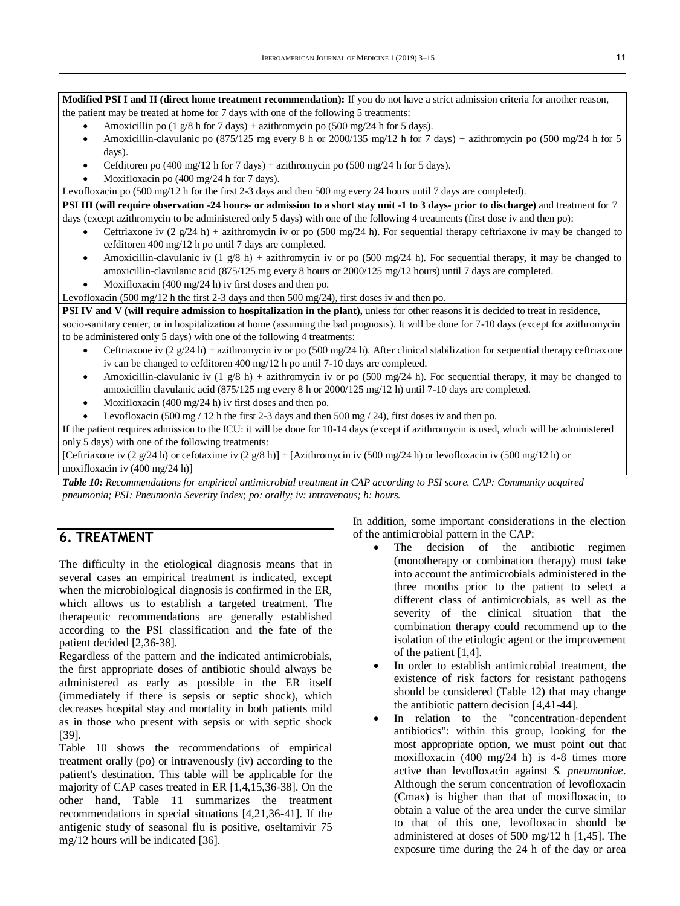**Modified PSI I and II (direct home treatment recommendation):** If you do not have a strict admission criteria for another reason, the patient may be treated at home for 7 days with one of the following 5 treatments:

- Amoxicillin po (1 g/8 h for 7 days) + azithromycin po (500 mg/24 h for 5 days).
- Amoxicillin-clavulanic po  $(875/125 \text{ mg} \text{ every } 8 \text{ h or } 2000/135 \text{ mg}/12 \text{ h for } 7 \text{ days})$  + azithromycin po  $(500 \text{ mg}/24 \text{ h for } 5 \text{ g})$ days).
- Cefditoren po (400 mg/12 h for 7 days) + azithromycin po (500 mg/24 h for 5 days).
- Moxifloxacin po (400 mg/24 h for 7 days).

Levofloxacin po (500 mg/12 h for the first 2-3 days and then 500 mg every 24 hours until 7 days are completed).

**PSI III (will require observation -24 hours- or admission to a short stay unit -1 to 3 days- prior to discharge)** and treatment for 7 days (except azithromycin to be administered only 5 days) with one of the following 4 treatments (first dose iv and then po):

- Ceftriaxone iv  $(2 \text{ g}/24 \text{ h})$  + azithromycin iv or po (500 mg/24 h). For sequential therapy ceftriaxone iv may be changed to cefditoren 400 mg/12 h po until 7 days are completed.
- Amoxicillin-clavulanic iv (1 g/8 h) + azithromycin iv or po (500 mg/24 h). For sequential therapy, it may be changed to amoxicillin-clavulanic acid (875/125 mg every 8 hours or 2000/125 mg/12 hours) until 7 days are completed. Moxifloxacin (400 mg/24 h) iv first doses and then po.
- Levofloxacin (500 mg/12 h the first 2-3 days and then 500 mg/24), first doses iv and then po.

**PSI IV and V (will require admission to hospitalization in the plant),** unless for other reasons it is decided to treat in residence,

socio-sanitary center, or in hospitalization at home (assuming the bad prognosis). It will be done for 7-10 days (except for azithromycin to be administered only 5 days) with one of the following 4 treatments:

- Ceftriaxone iv (2 g/24 h) + azithromycin iv or po (500 mg/24 h). After clinical stabilization for sequential therapy ceftriaxone iv can be changed to cefditoren 400 mg/12 h po until 7-10 days are completed.
- Amoxicillin-clavulanic iv (1 g/8 h) + azithromycin iv or po (500 mg/24 h). For sequential therapy, it may be changed to amoxicillin clavulanic acid (875/125 mg every 8 h or 2000/125 mg/12 h) until 7-10 days are completed.
- Moxifloxacin (400 mg/24 h) iv first doses and then po.
- Levofloxacin (500 mg / 12 h the first 2-3 days and then 500 mg / 24), first doses iv and then po.

If the patient requires admission to the ICU: it will be done for 10-14 days (except if azithromycin is used, which will be administered only 5 days) with one of the following treatments:

[Ceftriaxone iv  $(2 \frac{g}{24} h)$  or cefotaxime iv  $(2 \frac{g}{8} h)] +$  [Azithromycin iv  $(500 \frac{mg}{24} h)$  or levofloxacin iv  $(500 \frac{mg}{12} h)$  or moxifloxacin iv (400 mg/24 h)]

*Table 10: Recommendations for empirical antimicrobial treatment in CAP according to PSI score. CAP: Community acquired pneumonia; PSI: Pneumonia Severity Index; po: orally; iv: intravenous; h: hours.*

## **6. TREATMENT**

The difficulty in the etiological diagnosis means that in several cases an empirical treatment is indicated, except when the microbiological diagnosis is confirmed in the ER, which allows us to establish a targeted treatment. The therapeutic recommendations are generally established according to the PSI classification and the fate of the patient decided [2,36-38].

Regardless of the pattern and the indicated antimicrobials, the first appropriate doses of antibiotic should always be administered as early as possible in the ER itself (immediately if there is sepsis or septic shock), which decreases hospital stay and mortality in both patients mild as in those who present with sepsis or with septic shock [39].

Table 10 shows the recommendations of empirical treatment orally (po) or intravenously (iv) according to the patient's destination. This table will be applicable for the majority of CAP cases treated in ER [1,4,15,36-38]. On the other hand, Table 11 summarizes the treatment recommendations in special situations [4,21,36-41]. If the antigenic study of seasonal flu is positive, oseltamivir 75 mg/12 hours will be indicated [36].

In addition, some important considerations in the election of the antimicrobial pattern in the CAP:

- The decision of the antibiotic regimen (monotherapy or combination therapy) must take into account the antimicrobials administered in the three months prior to the patient to select a different class of antimicrobials, as well as the severity of the clinical situation that the combination therapy could recommend up to the isolation of the etiologic agent or the improvement of the patient [1,4].
- In order to establish antimicrobial treatment, the existence of risk factors for resistant pathogens should be considered (Table 12) that may change the antibiotic pattern decision [4,41-44].
- In relation to the "concentration-dependent antibiotics": within this group, looking for the most appropriate option, we must point out that moxifloxacin (400 mg/24 h) is 4-8 times more active than levofloxacin against *S. pneumoniae*. Although the serum concentration of levofloxacin (Cmax) is higher than that of moxifloxacin, to obtain a value of the area under the curve similar to that of this one, levofloxacin should be administered at doses of 500 mg/12 h [1,45]. The exposure time during the 24 h of the day or area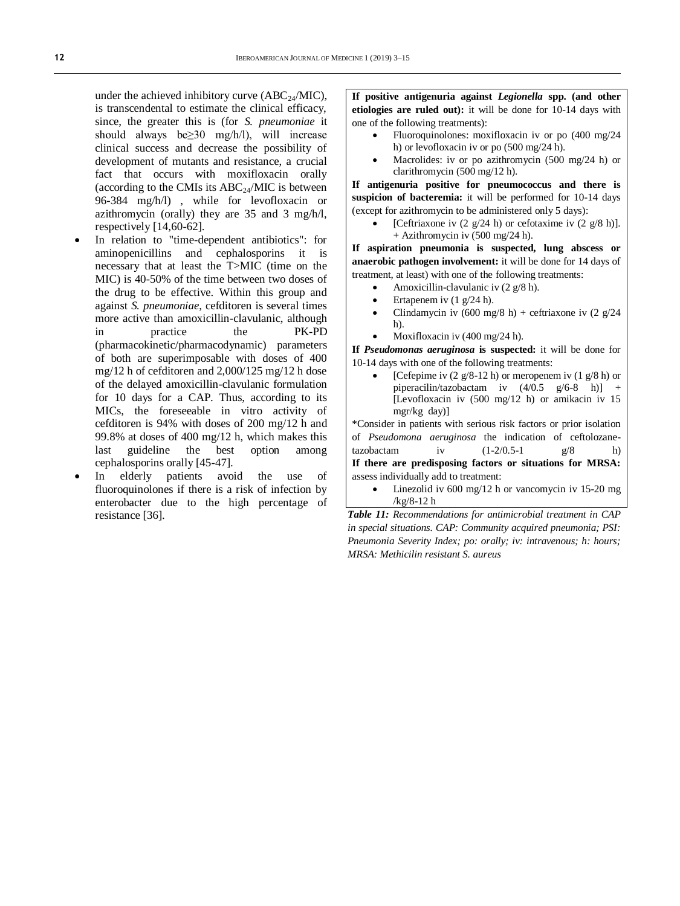under the achieved inhibitory curve  $(ABC_{24}/MIC)$ , is transcendental to estimate the clinical efficacy, since, the greater this is (for *S. pneumoniae* it should always be≥30 mg/h/l), will increase clinical success and decrease the possibility of development of mutants and resistance, a crucial fact that occurs with moxifloxacin orally (according to the CMIs its  $ABC_{24}/MIC$  is between 96-384 mg/h/l) , while for levofloxacin or azithromycin (orally) they are  $35$  and  $3 \text{ mg/h/l}$ . respectively [14,60-62].

- In relation to "time-dependent antibiotics": for aminopenicillins and cephalosporins it is necessary that at least the T>MIC (time on the MIC) is 40-50% of the time between two doses of the drug to be effective. Within this group and against *S. pneumoniae*, cefditoren is several times more active than amoxicillin-clavulanic, although in practice the PK-PD (pharmacokinetic/pharmacodynamic) parameters of both are superimposable with doses of 400 mg/12 h of cefditoren and 2,000/125 mg/12 h dose of the delayed amoxicillin-clavulanic formulation for 10 days for a CAP. Thus, according to its MICs, the foreseeable in vitro activity of cefditoren is 94% with doses of 200 mg/12 h and 99.8% at doses of 400 mg/12 h, which makes this last guideline the best option among cephalosporins orally [45-47].
- In elderly patients avoid the use of fluoroquinolones if there is a risk of infection by enterobacter due to the high percentage of

**If positive antigenuria against** *Legionella* **spp. (and other etiologies are ruled out):** it will be done for 10-14 days with one of the following treatments):

- Fluoroquinolones: moxifloxacin iv or po (400 mg/24 h) or levofloxacin iv or po (500 mg/24 h).
- Macrolides: iv or po azithromycin (500 mg/24 h) or clarithromycin (500 mg/12 h).

**If antigenuria positive for pneumococcus and there is suspicion of bacteremia:** it will be performed for 10-14 days (except for azithromycin to be administered only 5 days):

[Ceftriaxone iv (2  $g/24$  h) or cefotaxime iv (2  $g/8$  h)]. + Azithromycin iv (500 mg/24 h).

**If aspiration pneumonia is suspected, lung abscess or anaerobic pathogen involvement:** it will be done for 14 days of treatment, at least) with one of the following treatments:

- Amoxicillin-clavulanic iv (2 g/8 h).
- Ertapenem iv (1 g/24 h).
- Clindamycin iv  $(600 \text{ mg}/8 \text{ h}) +$  ceftriaxone iv  $(2 \text{ g}/24)$ h).
- Moxifloxacin iv (400 mg/24 h).

**If** *Pseudomonas aeruginosa* **is suspected:** it will be done for 10-14 days with one of the following treatments:

 [Cefepime iv (2 g/8-12 h) or meropenem iv (1 g/8 h) or piperacilin/tazobactam iv  $(4/0.5 \text{ g}/6-8 \text{ h})$ ] + [Levofloxacin iv (500 mg/12 h) or amikacin iv 15 mgr/kg day)]

\*Consider in patients with serious risk factors or prior isolation of *Pseudomona aeruginosa* the indication of ceftolozanetazobactam iv  $(1-2/0.5-1$  g/8 h) **If there are predisposing factors or situations for MRSA:** assess individually add to treatment:

 Linezolid iv 600 mg/12 h or vancomycin iv 15-20 mg /kg/8-12 h

resistance [36]. *Table 11: Recommendations for antimicrobial treatment in CAP in special situations. CAP: Community acquired pneumonia; PSI: Pneumonia Severity Index; po: orally; iv: intravenous; h: hours; MRSA: Methicilin resistant S. aureus*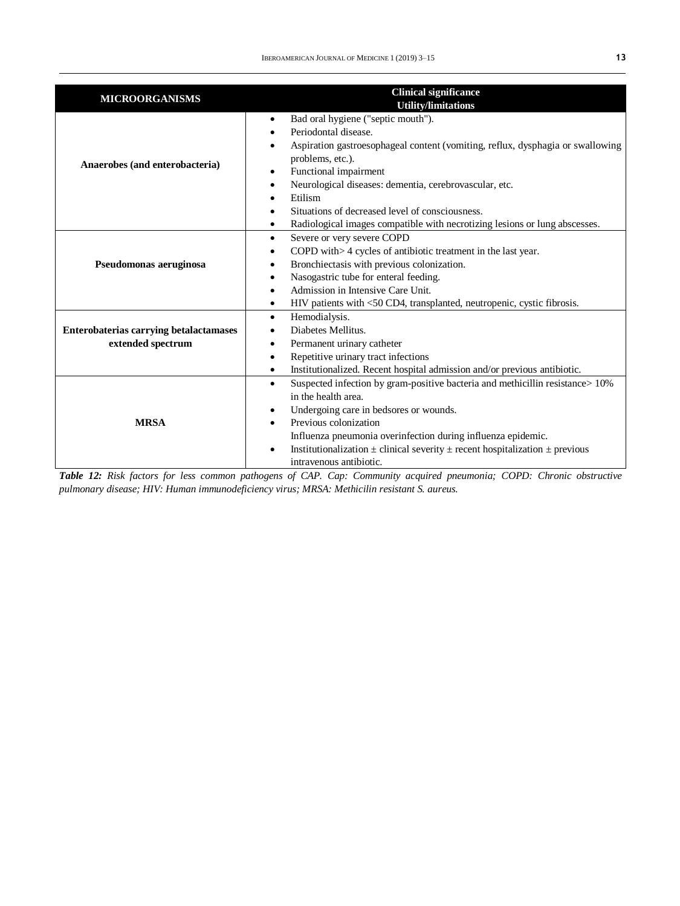| <b>MICROORGANISMS</b>                                              | <b>Clinical significance</b><br><b>Utility/limitations</b>                                                                                                                                                                                                                                                                                                                                                                     |
|--------------------------------------------------------------------|--------------------------------------------------------------------------------------------------------------------------------------------------------------------------------------------------------------------------------------------------------------------------------------------------------------------------------------------------------------------------------------------------------------------------------|
| Anaerobes (and enterobacteria)                                     | Bad oral hygiene ("septic mouth").<br>$\bullet$<br>Periodontal disease.<br>Aspiration gastroesophageal content (vomiting, reflux, dysphagia or swallowing<br>problems, etc.).<br>Functional impairment<br>$\bullet$<br>Neurological diseases: dementia, cerebrovascular, etc.<br>Etilism<br>Situations of decreased level of consciousness.<br>Radiological images compatible with necrotizing lesions or lung abscesses.<br>٠ |
| Pseudomonas aeruginosa                                             | Severe or very severe COPD<br>$\bullet$<br>COPD with> 4 cycles of antibiotic treatment in the last year.<br>Bronchiectasis with previous colonization.<br>Nasogastric tube for enteral feeding.<br>Admission in Intensive Care Unit.<br>HIV patients with <50 CD4, transplanted, neutropenic, cystic fibrosis.<br>٠                                                                                                            |
| <b>Enterobaterias carrying betalactamases</b><br>extended spectrum | Hemodialysis.<br>$\bullet$<br>Diabetes Mellitus.<br>Permanent urinary catheter<br>٠<br>Repetitive urinary tract infections<br>$\bullet$<br>Institutionalized. Recent hospital admission and/or previous antibiotic.<br>$\bullet$                                                                                                                                                                                               |
| <b>MRSA</b>                                                        | Suspected infection by gram-positive bacteria and methicillin resistance > 10%<br>$\bullet$<br>in the health area.<br>Undergoing care in bedsores or wounds.<br>$\bullet$<br>Previous colonization<br>Influenza pneumonia overinfection during influenza epidemic.<br>Institutionalization $\pm$ clinical severity $\pm$ recent hospitalization $\pm$ previous<br>$\bullet$<br>intravenous antibiotic.                         |

*Table 12: Risk factors for less common pathogens of CAP. Cap: Community acquired pneumonia; COPD: Chronic obstructive pulmonary disease; HIV: Human immunodeficiency virus; MRSA: Methicilin resistant S. aureus.*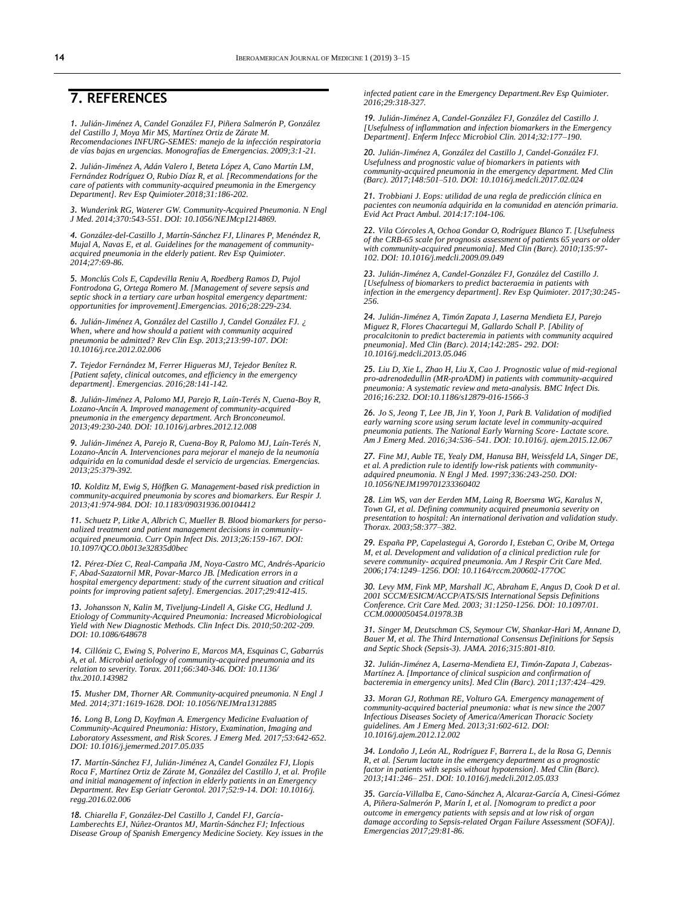### **7. REFERENCES**

*1. Julián-Jiménez A, Candel González FJ, Piñera Salmerón P, González del Castillo J, Moya Mir MS, Martínez Ortiz de Zárate M. Recomendaciones INFURG-SEMES: manejo de la infección respiratoria de vías bajas en urgencias. Monografías de Emergencias. 2009;3:1-21.* 

*2. Julián-Jiménez A, Adán Valero I, Beteta López A, Cano Martín LM, Fernández Rodríguez O, Rubio Díaz R, et al. [Recommendations for the care of patients with community-acquired pneumonia in the Emergency Department]. Rev Esp Quimioter.2018;31:186-202.* 

*3. Wunderink RG, Waterer GW. Community-Acquired Pneumonia. N Engl J Med. 2014;370:543-551. DOI: 10.1056/NEJMcp1214869.*

*4. González-del-Castillo J, Martín-Sánchez FJ, Llinares P, Menéndez R, Mujal A, Navas E, et al. Guidelines for the management of communityacquired pneumonia in the elderly patient. Rev Esp Quimioter. 2014;27:69-86.* 

*5. Monclús Cols E, Capdevilla Reniu A, Roedberg Ramos D, Pujol Fontrodona G, Ortega Romero M. [Management of severe sepsis and septic shock in a tertiary care urban hospital emergency department: opportunities for improvement].Emergencias. 2016;28:229-234.*

*6. Julián-Jiménez A, González del Castillo J, Candel González FJ. ¿ When, where and how should a patient with community acquired pneumonia be admitted? Rev Clin Esp. 2013;213:99-107. DOI: 10.1016/j.rce.2012.02.006*

*7. Tejedor Fernández M, Ferrer Higueras MJ, Tejedor Benítez R. [Patient safety, clinical outcomes, and efficiency in the emergency department]. Emergencias. 2016;28:141-142.* 

*8. Julián-Jiménez A, Palomo MJ, Parejo R, Laín-Terés N, Cuena-Boy R, Lozano-Ancín A. Improved management of community-acquired pneumonia in the emergency department. Arch Bronconeumol. 2013;49:230-240. DOI: 10.1016/j.arbres.2012.12.008* 

*9. Julián-Jiménez A, Parejo R, Cuena-Boy R, Palomo MJ, Laín-Terés N, Lozano-Ancín A. Intervenciones para mejorar el manejo de la neumonía adquirida en la comunidad desde el servicio de urgencias. Emergencias. 2013;25:379-392.*

*10. Kolditz M, Ewig S, Höffken G. Management-based risk prediction in community-acquired pneumonia by scores and biomarkers. Eur Respir J. 2013;41:974-984. DOI: 10.1183/09031936.00104412* 

*11. Schuetz P, Litke A, Albrich C, Mueller B. Blood biomarkers for personalized treatment and patient management decisions in communityacquired pneumonia. Curr Opin Infect Dis. 2013;26:159-167. DOI: 10.1097/QCO.0b013e32835d0bec*

*12. Pérez-Díez C, Real-Campaña JM, Noya-Castro MC, Andrés-Aparicio F, Abad-Sazatornil MR, Povar-Marco JB. [Medication errors in a hospital emergency department: study of the current situation and critical points for improving patient safety]. Emergencias. 2017;29:412-415.* 

*13. Johansson N, Kalin M, Tiveljung-Lindell A, Giske CG, Hedlund J. Etiology of Community-Acquired Pneumonia: Increased Microbiological Yield with New Diagnostic Methods. Clin Infect Dis. 2010;50:202-209. DOI: 10.1086/648678* 

*14. Cillóniz C, Ewing S, Polverino E, Marcos MA, Esquinas C, Gabarrús A, et al. Microbial aetiology of community-acquired pneumonia and its relation to severity. Torax. 2011;66:340-346. DOI: 10.1136/ thx.2010.143982*

*15. Musher DM, Thorner AR. Community-acquired pneumonia. N Engl J Med. 2014;371:1619-1628. DOI: 10.1056/NEJMra1312885*

*16. Long B, Long D, Koyfman A. Emergency Medicine Evaluation of Community-Acquired Pneumonia: History, Examination, Imaging and Laboratory Assessment, and Risk Scores. J Emerg Med. 2017;53:642-652. DOI: 10.1016/j.jemermed.2017.05.035*

*17. Martín-Sánchez FJ, Julián-Jiménez A, Candel González FJ, Llopis Roca F, Martínez Ortiz de Zárate M, González del Castillo J, et al. Profile and initial management of infection in elderly patients in an Emergency Department. Rev Esp Geriatr Gerontol. 2017;52:9-14. DOI: 10.1016/j. regg.2016.02.006* 

*18. Chiarella F, González-Del Castillo J, Candel FJ, García-Lamberechts EJ, Núñez-Orantos MJ, Martín-Sánchez FJ; Infectious Disease Group of Spanish Emergency Medicine Society. Key issues in the*  *infected patient care in the Emergency Department.Rev Esp Quimioter. 2016;29:318-327.*

*19. Julián-Jiménez A, Candel-González FJ, González del Castillo J. [Usefulness of inflammation and infection biomarkers in the Emergency Department]. Enferm Infecc Microbiol Clin. 2014;32:177–190.* 

*20. Julián-Jiménez A, González del Castillo J, Candel-González FJ. Usefulness and prognostic value of biomarkers in patients with community-acquired pneumonia in the emergency department. Med Clin (Barc). 2017;148:501–510. DOI: 10.1016/j.medcli.2017.02.024*

*21. Trobbiani J. Eops: utilidad de una regla de predicción clínica en pacientes con neumonía adquirida en la comunidad en atención primaria. Evid Act Pract Ambul. 2014:17:104-106.* 

*22. Vila Córcoles A, Ochoa Gondar O, Rodríguez Blanco T. [Usefulness of the CRB-65 scale for prognosis assessment of patients 65 years or older with community-acquired pneumonia]. Med Clin (Barc). 2010;135:97- 102. DOI: 10.1016/j.medcli.2009.09.049*

*23. Julián-Jiménez A, Candel-González FJ, González del Castillo J. [Usefulness of biomarkers to predict bacteraemia in patients with infection in the emergency department]. Rev Esp Quimioter. 2017;30:245- 256.* 

*24. Julián-Jiménez A, Timón Zapata J, Laserna Mendieta EJ, Parejo Miguez R, Flores Chacartegui M, Gallardo Schall P. [Ability of procalcitonin to predict bacteremia in patients with community acquired pneumonia]. Med Clin (Barc). 2014;142:285- 292. DOI: 10.1016/j.medcli.2013.05.046* 

*25. Liu D, Xie L, Zhao H, Liu X, Cao J. Prognostic value of mid-regional pro-adrenodedullin (MR-proADM) in patients with community-acquired pneumonia: A systematic review and meta-analysis. BMC Infect Dis. 2016;16:232. DOI:10.1186/s12879-016-1566-3* 

*26. Jo S, Jeong T, Lee JB, Jin Y, Yoon J, Park B. Validation of modified early warning score using serum lactate level in community-acquired pneumonia patients. The National Early Warning Score- Lactate score. Am J Emerg Med. 2016;34:536–541. DOI: 10.1016/j. ajem.2015.12.067*

*27. Fine MJ, Auble TE, Yealy DM, Hanusa BH, Weissfeld LA, Singer DE, et al. A prediction rule to identify low-risk patients with community-adquired pneumonia. N Engl J Med. 1997;336:243-250. DOI: 10.1056/NEJM199701233360402* 

*28. Lim WS, van der Eerden MM, Laing R, Boersma WG, Karalus N, Town GI, et al. Defining community acquired pneumonia severity on presentation to hospital: An international derivation and validation study. Thorax. 2003;58:377–382.* 

*29. España PP, Capelastegui A, Gorordo I, Esteban C, Oribe M, Ortega M, et al. Development and validation of a clinical prediction rule for severe community- acquired pneumonia. Am J Respir Crit Care Med. 2006;174:1249–1256. DOI: 10.1164/rccm.200602-177OC*

*30. Levy MM, Fink MP, Marshall JC, Abraham E, Angus D, Cook D et al. 2001 SCCM/ESICM/ACCP/ATS/SIS International Sepsis Definitions Conference. Crit Care Med. 2003; 31:1250-1256. DOI: 10.1097/01. CCM.0000050454.01978.3B* 

*31. Singer M, Deutschman CS, Seymour CW, Shankar-Hari M, Annane D, Bauer M, et al. The Third International Consensus Definitions for Sepsis and Septic Shock (Sepsis-3). JAMA. 2016;315:801-810.*

*32. Julián-Jiménez A, Laserna-Mendieta EJ, Timón-Zapata J, Cabezas-Martínez A. [Importance of clinical suspicion and confirmation of bacteremia in emergency units]. Med Clin (Barc). 2011;137:424–429.* 

*33. Moran GJ, Rothman RE, Volturo GA. Emergency management of community-acquired bacterial pneumonia: what is new since the 2007 Infectious Diseases Society of America/American Thoracic Society guidelines. Am J Emerg Med. 2013;31:602-612. DOI: 10.1016/j.ajem.2012.12.002*

*34. Londoño J, León AL, Rodríguez F, Barrera L, de la Rosa G, Dennis R, et al. [Serum lactate in the emergency department as a prognostic factor in patients with sepsis without hypotension]. Med Clin (Barc). 2013;141:246– 251. DOI: 10.1016/j.medcli.2012.05.033* 

*35. García-Villalba E, Cano-Sánchez A, Alcaraz-García A, Cinesi-Gómez A, Piñera-Salmerón P, Marín I, et al. [Nomogram to predict a poor outcome in emergency patients with sepsis and at low risk of organ damage according to Sepsis-related Organ Failure Assessment (SOFA)]. Emergencias 2017;29:81-86.*